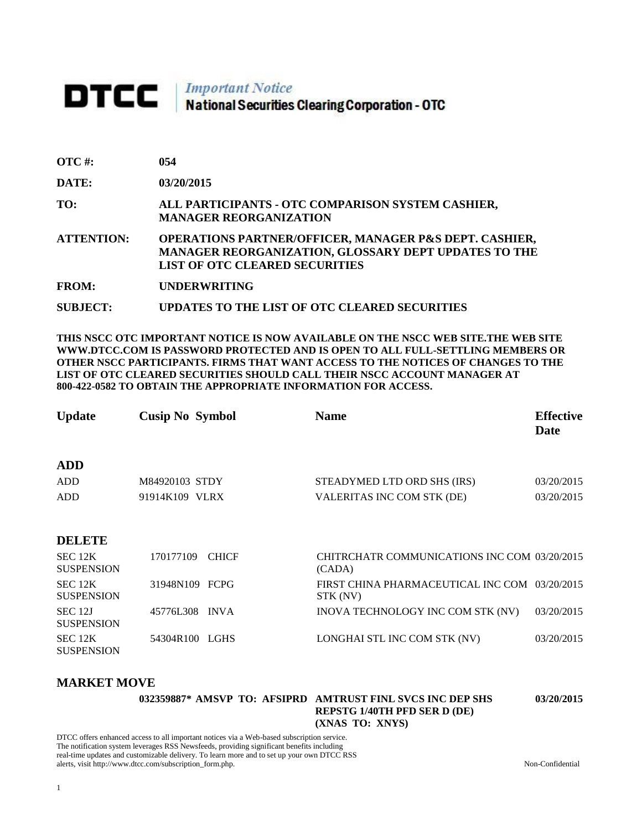# DTCC | Important Notice<br>National Securities Clearing Corporation - OTC

| <b>OTC#:</b> | 054 |
|--------------|-----|
|              |     |

**DATE: 03/20/2015**

**TO: ALL PARTICIPANTS - OTC COMPARISON SYSTEM CASHIER, MANAGER REORGANIZATION** 

**ATTENTION: OPERATIONS PARTNER/OFFICER, MANAGER P&S DEPT. CASHIER, MANAGER REORGANIZATION, GLOSSARY DEPT UPDATES TO THE LIST OF OTC CLEARED SECURITIES** 

**FROM: UNDERWRITING**

**SUBJECT: UPDATES TO THE LIST OF OTC CLEARED SECURITIES**

**THIS NSCC OTC IMPORTANT NOTICE IS NOW AVAILABLE ON THE NSCC WEB SITE.THE WEB SITE WWW.DTCC.COM IS PASSWORD PROTECTED AND IS OPEN TO ALL FULL-SETTLING MEMBERS OR OTHER NSCC PARTICIPANTS. FIRMS THAT WANT ACCESS TO THE NOTICES OF CHANGES TO THE LIST OF OTC CLEARED SECURITIES SHOULD CALL THEIR NSCC ACCOUNT MANAGER AT 800-422-0582 TO OBTAIN THE APPROPRIATE INFORMATION FOR ACCESS.** 

| <b>Cusip No Symbol</b> | <b>Name</b>                 | <b>Effective</b><br><b>Date</b> |
|------------------------|-----------------------------|---------------------------------|
|                        |                             |                                 |
| M84920103 STDY         | STEADYMED LTD ORD SHS (IRS) | 03/20/2015                      |
| 91914K109 VLRX         | VALERITAS INC COM STK (DE)  | 03/20/2015                      |
|                        |                             |                                 |
|                        |                             |                                 |

#### **DELETE**

| SEC 12K<br><b>SUSPENSION</b> | 170177109 CHICF | CHITRCHATR COMMUNICATIONS INC COM 03/20/2015<br>(CADA)    |            |
|------------------------------|-----------------|-----------------------------------------------------------|------------|
| SEC 12K<br><b>SUSPENSION</b> | 31948N109 FCPG  | FIRST CHINA PHARMACEUTICAL INC COM 03/20/2015<br>STK (NV) |            |
| SEC 12J<br><b>SUSPENSION</b> | 45776L308 INVA  | INOVA TECHNOLOGY INC COM STK (NV)                         | 03/20/2015 |
| SEC 12K<br><b>SUSPENSION</b> | 54304R100 LGHS  | LONGHAI STL INC COM STK (NV)                              | 03/20/2015 |

#### **MARKET MOVE**

|  |  | 032359887* AMSVP_TO:_AFSIPRD_AMTRUST_FINL_SVCS_INC_DEP_SHS |
|--|--|------------------------------------------------------------|
|  |  | <b>REPSTG 1/40TH PFD SER D (DE)</b>                        |
|  |  | (XNAS TO: XNYS)                                            |

DTCC offers enhanced access to all important notices via a Web-based subscription service. The notification system leverages RSS Newsfeeds, providing significant benefits including real-time updates and customizable delivery. To learn more and to set up your own DTCC RSS alerts, visit http://www.dtcc.com/subscription\_form.php. Non-Confidential

**03/20/2015**